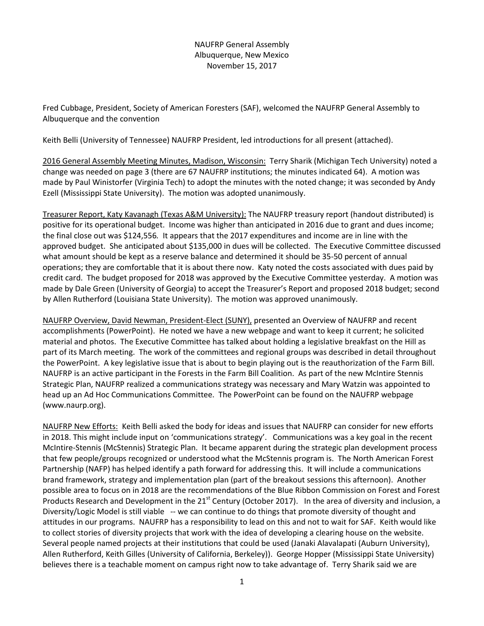## NAUFRP General Assembly Albuquerque, New Mexico November 15, 2017

Fred Cubbage, President, Society of American Foresters (SAF), welcomed the NAUFRP General Assembly to Albuquerque and the convention

Keith Belli (University of Tennessee) NAUFRP President, led introductions for all present (attached).

2016 General Assembly Meeting Minutes, Madison, Wisconsin: Terry Sharik (Michigan Tech University) noted a change was needed on page 3 (there are 67 NAUFRP institutions; the minutes indicated 64). A motion was made by Paul Winistorfer (Virginia Tech) to adopt the minutes with the noted change; it was seconded by Andy Ezell (Mississippi State University). The motion was adopted unanimously.

Treasurer Report, Katy Kavanagh (Texas A&M University): The NAUFRP treasury report (handout distributed) is positive for its operational budget. Income was higher than anticipated in 2016 due to grant and dues income; the final close out was \$124,556*.* It appears that the 2017 expenditures and income are in line with the approved budget. She anticipated about \$135,000 in dues will be collected. The Executive Committee discussed what amount should be kept as a reserve balance and determined it should be 35-50 percent of annual operations; they are comfortable that it is about there now. Katy noted the costs associated with dues paid by credit card. The budget proposed for 2018 was approved by the Executive Committee yesterday. A motion was made by Dale Green (University of Georgia) to accept the Treasurer's Report and proposed 2018 budget; second by Allen Rutherford (Louisiana State University). The motion was approved unanimously.

NAUFRP Overview, David Newman, President-Elect (SUNY), presented an Overview of NAUFRP and recent accomplishments (PowerPoint). He noted we have a new webpage and want to keep it current; he solicited material and photos. The Executive Committee has talked about holding a legislative breakfast on the Hill as part of its March meeting. The work of the committees and regional groups was described in detail throughout the PowerPoint. A key legislative issue that is about to begin playing out is the reauthorization of the Farm Bill. NAUFRP is an active participant in the Forests in the Farm Bill Coalition. As part of the new McIntire Stennis Strategic Plan, NAUFRP realized a communications strategy was necessary and Mary Watzin was appointed to head up an Ad Hoc Communications Committee. The PowerPoint can be found on the NAUFRP webpage (www.naurp.org).

NAUFRP New Efforts: Keith Belli asked the body for ideas and issues that NAUFRP can consider for new efforts in 2018. This might include input on 'communications strategy'. Communications was a key goal in the recent McIntire-Stennis (McStennis) Strategic Plan. It became apparent during the strategic plan development process that few people/groups recognized or understood what the McStennis program is. The North American Forest Partnership (NAFP) has helped identify a path forward for addressing this. It will include a communications brand framework, strategy and implementation plan (part of the breakout sessions this afternoon). Another possible area to focus on in 2018 are the recommendations of the Blue Ribbon Commission on Forest and Forest Products Research and Development in the 21<sup>st</sup> Century (October 2017). In the area of diversity and inclusion, a Diversity/Logic Model is still viable -- we can continue to do things that promote diversity of thought and attitudes in our programs. NAUFRP has a responsibility to lead on this and not to wait for SAF. Keith would like to collect stories of diversity projects that work with the idea of developing a clearing house on the website. Several people named projects at their institutions that could be used (Janaki Alavalapati (Auburn University), Allen Rutherford, Keith Gilles (University of California, Berkeley)). George Hopper (Mississippi State University) believes there is a teachable moment on campus right now to take advantage of. Terry Sharik said we are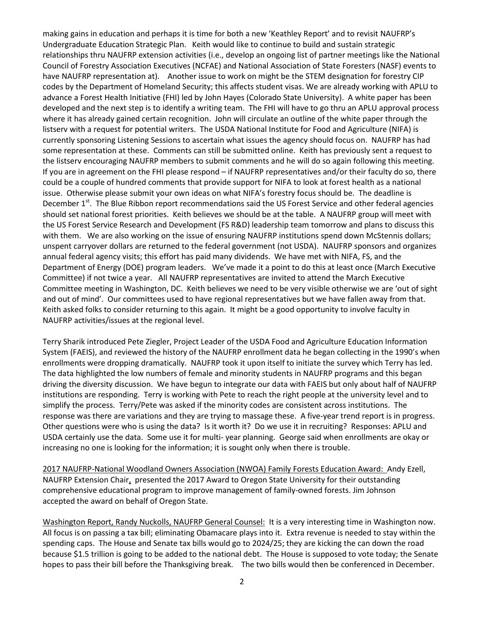making gains in education and perhaps it is time for both a new 'Keathley Report' and to revisit NAUFRP's Undergraduate Education Strategic Plan. Keith would like to continue to build and sustain strategic relationships thru NAUFRP extension activities (i.e., develop an ongoing list of partner meetings like the National Council of Forestry Association Executives (NCFAE) and National Association of State Foresters (NASF) events to have NAUFRP representation at). Another issue to work on might be the STEM designation for forestry CIP codes by the Department of Homeland Security; this affects student visas. We are already working with APLU to advance a Forest Health Initiative (FHI) led by John Hayes (Colorado State University). A white paper has been developed and the next step is to identify a writing team. The FHI will have to go thru an APLU approval process where it has already gained certain recognition. John will circulate an outline of the white paper through the listserv with a request for potential writers. The USDA National Institute for Food and Agriculture (NIFA) is currently sponsoring Listening Sessions to ascertain what issues the agency should focus on. NAUFRP has had some representation at these. Comments can still be submitted online. Keith has previously sent a request to the listserv encouraging NAUFRP members to submit comments and he will do so again following this meeting. If you are in agreement on the FHI please respond – if NAUFRP representatives and/or their faculty do so, there could be a couple of hundred comments that provide support for NIFA to look at forest health as a national issue. Otherwise please submit your own ideas on what NIFA's forestry focus should be. The deadline is December 1<sup>st</sup>. The Blue Ribbon report recommendations said the US Forest Service and other federal agencies should set national forest priorities. Keith believes we should be at the table. A NAUFRP group will meet with the US Forest Service Research and Development (FS R&D) leadership team tomorrow and plans to discuss this with them. We are also working on the issue of ensuring NAUFRP institutions spend down McStennis dollars; unspent carryover dollars are returned to the federal government (not USDA). NAUFRP sponsors and organizes annual federal agency visits; this effort has paid many dividends. We have met with NIFA, FS, and the Department of Energy (DOE) program leaders. We've made it a point to do this at least once (March Executive Committee) if not twice a year. All NAUFRP representatives are invited to attend the March Executive Committee meeting in Washington, DC. Keith believes we need to be very visible otherwise we are 'out of sight and out of mind'. Our committees used to have regional representatives but we have fallen away from that. Keith asked folks to consider returning to this again. It might be a good opportunity to involve faculty in NAUFRP activities/issues at the regional level.

Terry Sharik introduced Pete Ziegler, Project Leader of the USDA Food and Agriculture Education Information System (FAEIS), and reviewed the history of the NAUFRP enrollment data he began collecting in the 1990's when enrollments were dropping dramatically. NAUFRP took it upon itself to initiate the survey which Terry has led. The data highlighted the low numbers of female and minority students in NAUFRP programs and this began driving the diversity discussion. We have begun to integrate our data with FAEIS but only about half of NAUFRP institutions are responding. Terry is working with Pete to reach the right people at the university level and to simplify the process. Terry/Pete was asked if the minority codes are consistent across institutions. The response was there are variations and they are trying to massage these. A five-year trend report is in progress. Other questions were who is using the data? Is it worth it? Do we use it in recruiting? Responses: APLU and USDA certainly use the data. Some use it for multi- year planning. George said when enrollments are okay or increasing no one is looking for the information; it is sought only when there is trouble.

2017 NAUFRP-National Woodland Owners Association (NWOA) Family Forests Education Award: Andy Ezell, NAUFRP Extension Chair, presented the 2017 Award to Oregon State University for their outstanding comprehensive educational program to improve management of family-owned forests. Jim Johnson accepted the award on behalf of Oregon State.

Washington Report, Randy Nuckolls, NAUFRP General Counsel: It is a very interesting time in Washington now. All focus is on passing a tax bill; eliminating Obamacare plays into it. Extra revenue is needed to stay within the spending caps. The House and Senate tax bills would go to 2024/25; they are kicking the can down the road because \$1.5 trillion is going to be added to the national debt. The House is supposed to vote today; the Senate hopes to pass their bill before the Thanksgiving break. The two bills would then be conferenced in December.